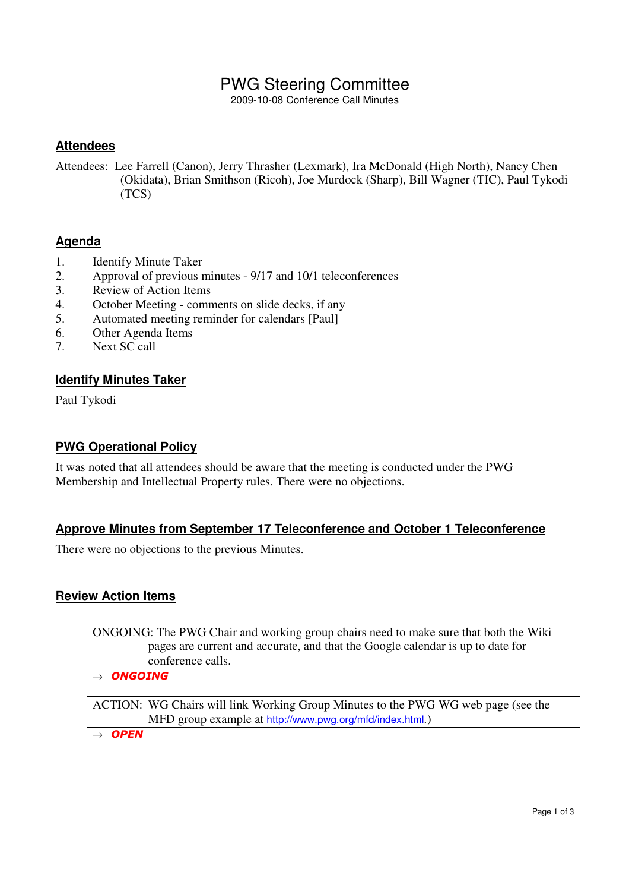# PWG Steering Committee

2009-10-08 Conference Call Minutes

### **Attendees**

Attendees: Lee Farrell (Canon), Jerry Thrasher (Lexmark), Ira McDonald (High North), Nancy Chen (Okidata), Brian Smithson (Ricoh), Joe Murdock (Sharp), Bill Wagner (TIC), Paul Tykodi (TCS)

### **Agenda**

- 1. Identify Minute Taker
- 2. Approval of previous minutes 9/17 and 10/1 teleconferences
- 3. Review of Action Items
- 4. October Meeting comments on slide decks, if any
- 5. Automated meeting reminder for calendars [Paul]
- 6. Other Agenda Items
- 7. Next SC call

#### **Identify Minutes Taker**

Paul Tykodi

#### **PWG Operational Policy**

It was noted that all attendees should be aware that the meeting is conducted under the PWG Membership and Intellectual Property rules. There were no objections.

#### **Approve Minutes from September 17 Teleconference and October 1 Teleconference**

There were no objections to the previous Minutes.

#### **Review Action Items**

ONGOING: The PWG Chair and working group chairs need to make sure that both the Wiki pages are current and accurate, and that the Google calendar is up to date for conference calls.

 $\rightarrow$  ONGOING

ACTION: WG Chairs will link Working Group Minutes to the PWG WG web page (see the MFD group example at http://www.pwg.org/mfd/index.html.)

 $\rightarrow$  OPEN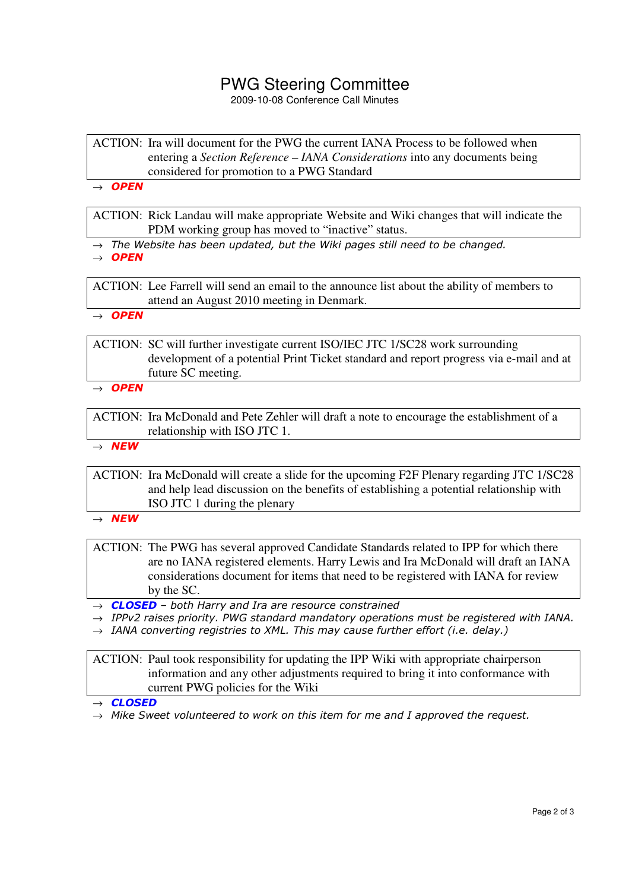# PWG Steering Committee

2009-10-08 Conference Call Minutes

ACTION: Ira will document for the PWG the current IANA Process to be followed when entering a *Section Reference – IANA Considerations* into any documents being considered for promotion to a PWG Standard

 $\rightarrow$  OPEN

ACTION: Rick Landau will make appropriate Website and Wiki changes that will indicate the PDM working group has moved to "inactive" status.

- $\rightarrow$  The Website has been updated, but the Wiki pages still need to be changed.
- $\rightarrow$  OPEN

ACTION: Lee Farrell will send an email to the announce list about the ability of members to attend an August 2010 meeting in Denmark.

 $\rightarrow$  OPEN

ACTION: SC will further investigate current ISO/IEC JTC 1/SC28 work surrounding development of a potential Print Ticket standard and report progress via e-mail and at future SC meeting.

 $\rightarrow$  OPEN

ACTION: Ira McDonald and Pete Zehler will draft a note to encourage the establishment of a relationship with ISO JTC 1.

 $\rightarrow$  NEW

ACTION: Ira McDonald will create a slide for the upcoming F2F Plenary regarding JTC 1/SC28 and help lead discussion on the benefits of establishing a potential relationship with ISO JTC 1 during the plenary

 $\rightarrow$  NEW

ACTION: The PWG has several approved Candidate Standards related to IPP for which there are no IANA registered elements. Harry Lewis and Ira McDonald will draft an IANA considerations document for items that need to be registered with IANA for review by the SC.

 $\rightarrow$  **CLOSED** – both Harry and Ira are resource constrained

- $\rightarrow$  IPPv2 raises priority. PWG standard mandatory operations must be registered with IANA.
- $\rightarrow$  IANA converting registries to XML. This may cause further effort (i.e. delay.)

ACTION: Paul took responsibility for updating the IPP Wiki with appropriate chairperson information and any other adjustments required to bring it into conformance with current PWG policies for the Wiki

 $\rightarrow$  CLOSED

 $\rightarrow$  Mike Sweet volunteered to work on this item for me and I approved the request.